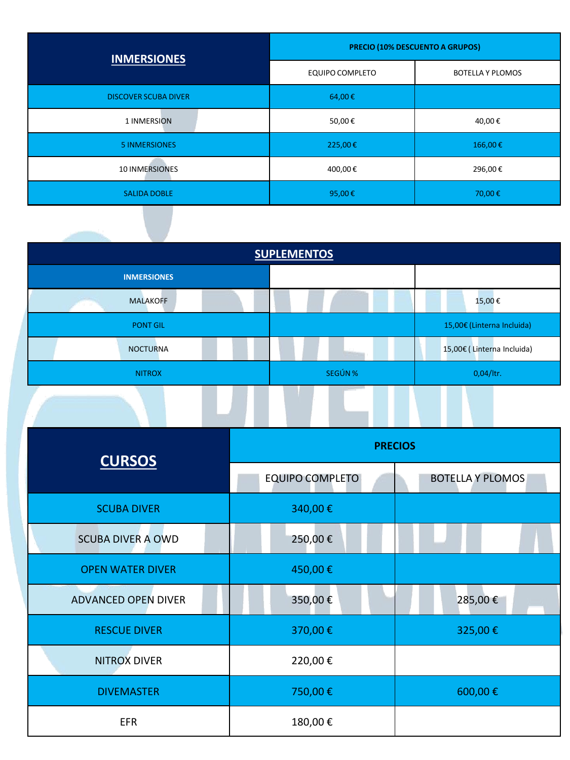| <b>INMERSIONES</b>          | <b>PRECIO (10% DESCUENTO A GRUPOS)</b> |                         |
|-----------------------------|----------------------------------------|-------------------------|
|                             | <b>EQUIPO COMPLETO</b>                 | <b>BOTELLA Y PLOMOS</b> |
| <b>DISCOVER SCUBA DIVER</b> | 64,00€                                 |                         |
| 1 INMERSION                 | 50,00€                                 | 40,00€                  |
| <b>5 INMERSIONES</b>        | 225,00€                                | 166,00€                 |
| 10 INMERSIONES              | 400,00€                                | 296,00€                 |
| <b>SALIDA DOBLE</b>         | 95,00€                                 | 70,00€                  |

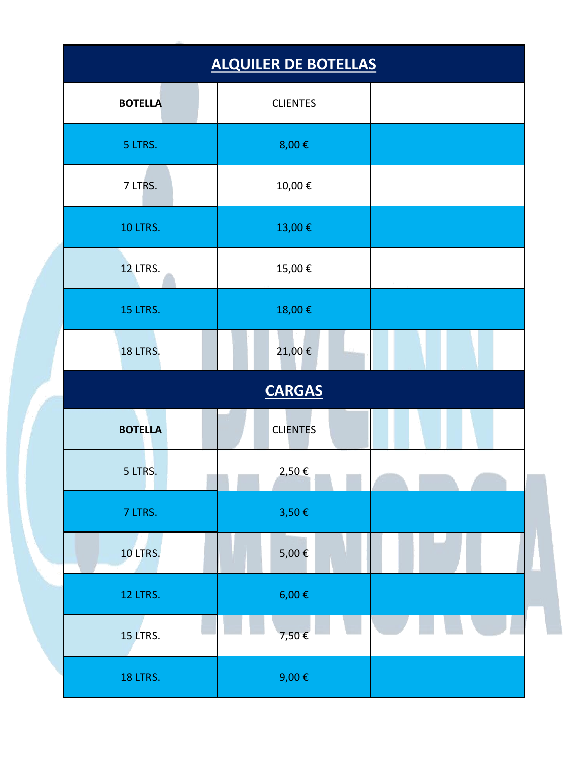| <b>ALQUILER DE BOTELLAS</b> |                 |  |
|-----------------------------|-----------------|--|
| <b>BOTELLA</b>              | <b>CLIENTES</b> |  |
| 5 LTRS.                     | 8,00€           |  |
| 7 LTRS.                     | $10,\!00$ $\in$ |  |
| 10 LTRS.                    | 13,00€          |  |
| <b>12 LTRS.</b>             | 15,00€          |  |
| 15 LTRS.                    | 18,00€          |  |
| <b>18 LTRS.</b>             | 21,00€          |  |
| <b>CARGAS</b>               |                 |  |
| <b>BOTELLA</b>              | <b>CLIENTES</b> |  |
| 5 LTRS.                     | 2,50€           |  |
| 7 LTRS.                     | 3,50€           |  |
| <b>10 LTRS.</b>             | 5,00 €          |  |
| <b>12 LTRS.</b>             | 6,00 €          |  |
| <b>15 LTRS.</b>             | 7,50€           |  |
| 18 LTRS.                    | 9,00€           |  |